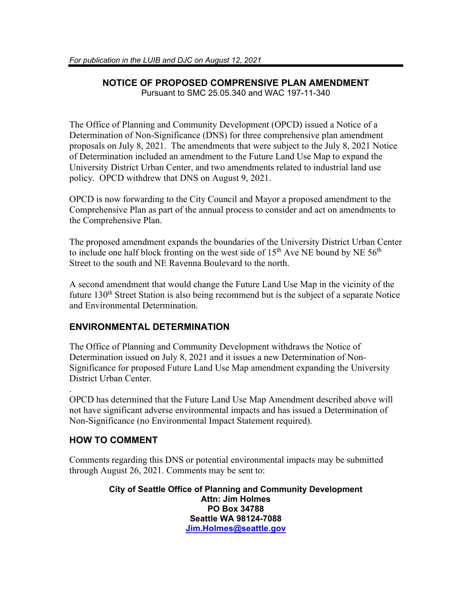### **NOTICE OF PROPOSED COMPRENSIVE PLAN AMENDMENT** Pursuant to SMC 25.05.340 and WAC 197-11-340

The Office of Planning and Community Development (OPCD) issued a Notice of a Determination of Non-Significance (DNS) for three comprehensive plan amendment proposals on July 8, 2021. The amendments that were subject to the July 8, 2021 Notice of Determination included an amendment to the Future Land Use Map to expand the University District Urban Center, and two amendments related to industrial land use policy. OPCD withdrew that DNS on August 9, 2021.

OPCD is now forwarding to the City Council and Mayor a proposed amendment to the Comprehensive Plan as part of the annual process to consider and act on amendments to the Comprehensive Plan.

The proposed amendment expands the boundaries of the University District Urban Center to include one half block fronting on the west side of  $15<sup>th</sup>$  Ave NE bound by NE  $56<sup>th</sup>$ Street to the south and NE Ravenna Boulevard to the north.

A second amendment that would change the Future Land Use Map in the vicinity of the future 130<sup>th</sup> Street Station is also being recommend but is the subject of a separate Notice and Environmental Determination.

# **ENVIRONMENTAL DETERMINATION**

The Office of Planning and Community Development withdraws the Notice of Determination issued on July 8, 2021 and it issues a new Determination of Non-Significance for proposed Future Land Use Map amendment expanding the University District Urban Center.

. OPCD has determined that the Future Land Use Map Amendment described above will not have significant adverse environmental impacts and has issued a Determination of Non-Significance (no Environmental Impact Statement required).

# **HOW TO COMMENT**

Comments regarding this DNS or potential environmental impacts may be submitted through August 26, 2021. Comments may be sent to:

> **City of Seattle Office of Planning and Community Development Attn: Jim Holmes PO Box 34788 Seattle WA 98124-7088 [Jim.Holmes@seattle.gov](mailto:Jim.Holmes@seattle.gov)**